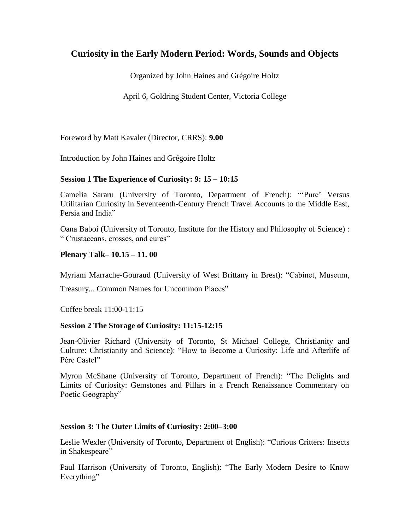# **Curiosity in the Early Modern Period: Words, Sounds and Objects**

Organized by John Haines and Grégoire Holtz

April 6, Goldring Student Center, Victoria College

Foreword by Matt Kavaler (Director, CRRS): **9.00**

Introduction by John Haines and Grégoire Holtz

#### **Session 1 The Experience of Curiosity: 9: 15 – 10:15**

Camelia Sararu (University of Toronto, Department of French): ""Pure" Versus Utilitarian Curiosity in Seventeenth-Century French Travel Accounts to the Middle East, Persia and India"

Oana Baboi (University of Toronto, Institute for the History and Philosophy of Science) : " Crustaceans, crosses, and cures"

## **Plenary Talk– 10.15 – 11. 00**

Myriam Marrache-Gouraud (University of West Brittany in Brest): "Cabinet, Museum,

Treasury... Common Names for Uncommon Places"

Coffee break 11:00-11:15

#### **Session 2 The Storage of Curiosity: 11:15-12:15**

Jean-Olivier Richard (University of Toronto, St Michael College, Christianity and Culture: Christianity and Science): "How to Become a Curiosity: Life and Afterlife of Père Castel"

Myron McShane (University of Toronto, Department of French): "The Delights and Limits of Curiosity: Gemstones and Pillars in a French Renaissance Commentary on Poetic Geography"

#### **Session 3: The Outer Limits of Curiosity: 2:00–3:00**

Leslie Wexler (University of Toronto, Department of English): "Curious Critters: Insects in Shakespeare"

Paul Harrison (University of Toronto, English): "The Early Modern Desire to Know Everything"